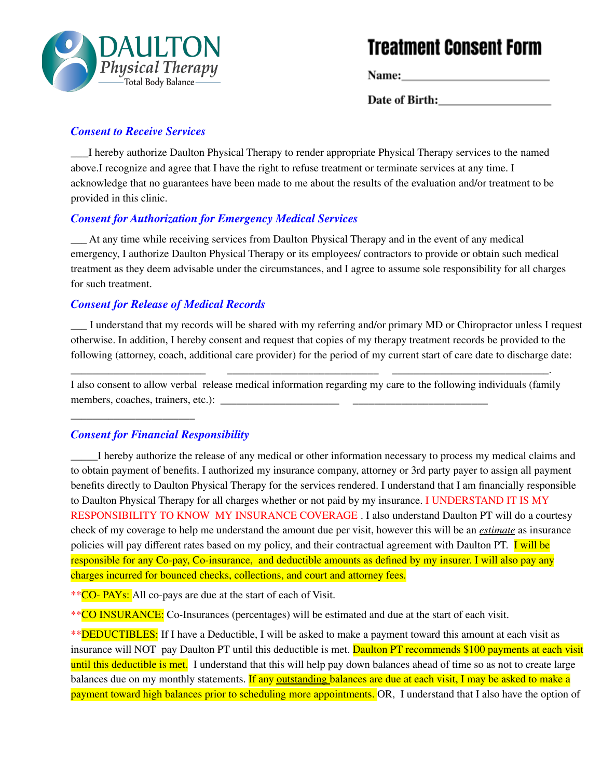

# **Treatment Consent Form**

Date of Birth:

#### *Consent to Receive Services*

\_\_\_I hereby authorize Daulton Physical Therapy to render appropriate Physical Therapy services to the named above.I recognize and agree that I have the right to refuse treatment or terminate services at any time. I acknowledge that no guarantees have been made to me about the results of the evaluation and/or treatment to be provided in this clinic.

#### *Consent for Authorization for Emergency Medical Services*

\_\_\_ At any time while receiving services from Daulton Physical Therapy and in the event of any medical emergency, I authorize Daulton Physical Therapy or its employees/ contractors to provide or obtain such medical treatment as they deem advisable under the circumstances, and I agree to assume sole responsibility for all charges for such treatment.

#### *Consent for Release of Medical Records*

\_\_\_ I understand that my records will be shared with my referring and/or primary MD or Chiropractor unless I request otherwise. In addition, I hereby consent and request that copies of my therapy treatment records be provided to the following (attorney, coach, additional care provider) for the period of my current start of care date to discharge date:

I also consent to allow verbal release medical information regarding my care to the following individuals (family members, coaches, trainers, etc.):

\_\_\_\_\_\_\_\_\_\_\_\_\_\_\_\_\_\_\_\_\_\_\_\_\_ \_\_\_\_\_\_\_\_\_\_\_\_\_\_\_\_\_\_\_\_\_\_\_\_\_\_\_\_ \_\_\_\_\_\_\_\_\_\_\_\_\_\_\_\_\_\_\_\_\_\_\_\_\_\_\_\_\_.

## *Consent for Financial Responsibility*

\_\_\_\_\_\_\_\_\_\_\_\_\_\_\_\_\_\_\_\_\_\_\_

I hereby authorize the release of any medical or other information necessary to process my medical claims and to obtain payment of benefits. I authorized my insurance company, attorney or 3rd party payer to assign all payment benefits directly to Daulton Physical Therapy for the services rendered. I understand that I am financially responsible to Daulton Physical Therapy for all charges whether or not paid by my insurance. I UNDERSTAND IT IS MY RESPONSIBILITY TO KNOW MY INSURANCE COVERAGE . I also understand Daulton PT will do a courtesy check of my coverage to help me understand the amount due per visit, however this will be an *estimate* as insurance policies will pay different rates based on my policy, and their contractual agreement with Daulton PT. **I will be** responsible for any Co-pay, Co-insurance, and deductible amounts as defined by my insurer. I will also pay any charges incurred for bounced checks, collections, and court and attorney fees.

\*\*CO- PAYs: All co-pays are due at the start of each of Visit.

\*\* CO INSURANCE: Co-Insurances (percentages) will be estimated and due at the start of each visit.

\*\***DEDUCTIBLES:** If I have a Deductible, I will be asked to make a payment toward this amount at each visit as insurance will NOT pay Daulton PT until this deductible is met. Daulton PT recommends \$100 payments at each visit until this deductible is met. I understand that this will help pay down balances ahead of time so as not to create large balances due on my monthly statements. If any outstanding balances are due at each visit, I may be asked to make a payment toward high balances prior to scheduling more appointments. OR, I understand that I also have the option of